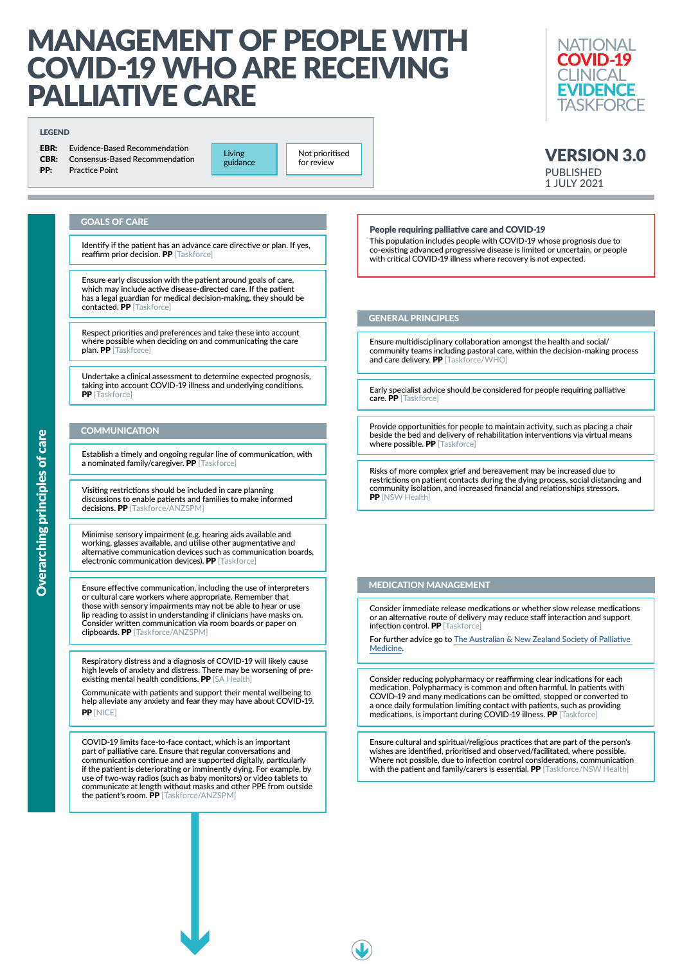# MANAGEMENT OF PEOPLE WITH COVID-19 WHO ARE RECEIVING PALLIATIVE CARE



Identify if the patient has an advance care directive or plan. If yes, reaffirm prior decision. PP [Taskforce]

#### People requiring palliative care and COVID-19

This population includes people with COVID-19 whose prognosis due to co-existing advanced progressive disease is limited or uncertain, or people with critical COVID-19 illness where recovery is not expected.

## GOALS OF CARE

Minimise sensory impairment (e.g. hearing aids available and working, glasses available, and utilise other augmentative and alternative communication devices such as communication boards, electronic communication devices). PP [Taskforce]

Respiratory distress and a diagnosis of COVID-19 will likely cause high levels of anxiety and distress. There may be worsening of preexisting mental health conditions. PP [SA Health]

Ensure early discussion with the patient around goals of care, which may include active disease-directed care. If the patient has a legal guardian for medical decision-making, they should be contacted. PP [Taskforce]

Communicate with patients and support their mental wellbeing to help alleviate any anxiety and fear they may have about COVID-19. PP [NICE]

# VERSION 3.0 PUBLISHED 1 JULY 2021

Respect priorities and preferences and take these into account where possible when deciding on and communicating the care plan. PP [Taskforce]

Undertake a clinical assessment to determine expected prognosis, taking into account COVID-19 illness and underlying conditions. PP [Taskforce]

## **COMMUNICATION**

Ensure multidisciplinary collaboration amongst the health and social/ community teams including pastoral care, within the decision-making process and care delivery. PP [Taskforce/WHO]

Provide opportunities for people to maintain activity, such as placing a chair beside the bed and delivery of rehabilitation interventions via virtual means where possible. PP [Taskforce]

Risks of more complex grief and bereavement may be increased due to restrictions on patient contacts during the dying process, social distancing and community isolation, and increased financial and relationships stressors. **PP** [NSW Health]

Consider immediate release medications or whether slow release medications or an alternative route of delivery may reduce staff interaction and support infection control. PP [Taskforce]

Establish a timely and ongoing regular line of communication, with a nominated family/caregiver. PP [Taskforce]

> Ensure cultural and spiritual/religious practices that are part of the person's wishes are identified, prioritised and observed/facilitated, where possible. Where not possible, due to infection control considerations, communication with the patient and family/carers is essential. PP [Taskforce/NSW Health]



COVID-19 limits face-to-face contact, which is an important part of palliative care. Ensure that regular conversations and communication continue and are supported digitally, particularly if the patient is deteriorating or imminently dying. For example, by use of two-way radios (such as baby monitors) or video tablets to communicate at length without masks and other PPE from outside the patient's room. PP [Taskforce/ANZSPM]

**EBR:** Evidence-Based Recommendation CBR: Consensus-Based Recommendation

> Ensure effective communication, including the use of interpreters or cultural care workers where appropriate. Remember that those with sensory impairments may not be able to hear or use lip reading to assist in understanding if clinicians have masks on. Consider written communication via room boards or paper on clipboards. PP [Taskforce/ANZSPM]

## GENERAL PRINCIPLES

## MEDICATION MANAGEMENT

Early specialist advice should be considered for people requiring palliative care. PP [Taskforce]

For further advice go to [The Australian & New Zealand Society of Palliative](https://www.anzspm.org.au/c/anzspm)  [Medicine](https://www.anzspm.org.au/c/anzspm).

Consider reducing polypharmacy or reaffirming clear indications for each medication. Polypharmacy is common and often harmful. In patients with COVID-19 and many medications can be omitted, stopped or converted to a once daily formulation limiting contact with patients, such as providing medications, is important during COVID-19 illness. PP [Taskforce]

Visiting restrictions should be included in care planning discussions to enable patients and families to make informed decisions. PP [Taskforce/ANZSPM]

#### LEGEND

**PP:** Practice Point

Living guidance

Not prioritised for review